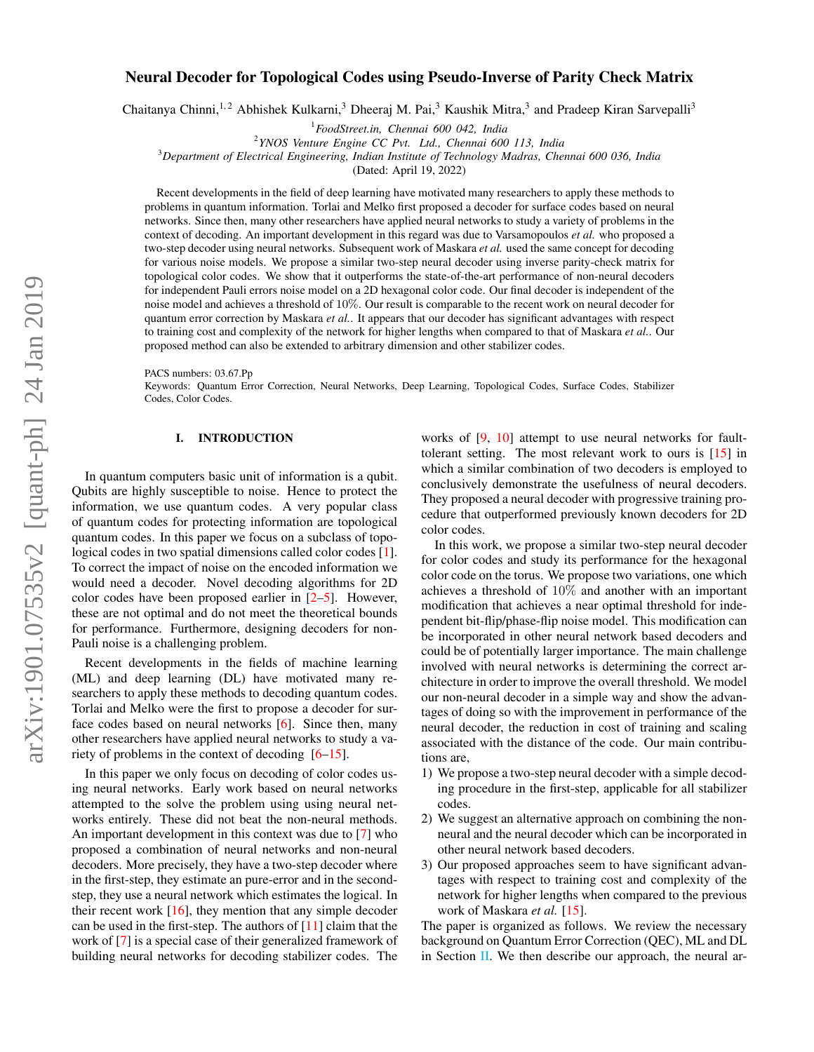# Neural Decoder for Topological Codes using Pseudo-Inverse of Parity Check Matrix

Chaitanya Chinni,<sup>1,2</sup> Abhishek Kulkarni,<sup>3</sup> Dheeraj M. Pai,<sup>3</sup> Kaushik Mitra,<sup>3</sup> and Pradeep Kiran Sarvepalli<sup>3</sup>

<sup>1</sup>*FoodStreet.in, Chennai 600 042, India*

2 *YNOS Venture Engine CC Pvt. Ltd., Chennai 600 113, India*

<sup>3</sup>*Department of Electrical Engineering, Indian Institute of Technology Madras, Chennai 600 036, India*

(Dated: April 19, 2022)

Recent developments in the field of deep learning have motivated many researchers to apply these methods to problems in quantum information. Torlai and Melko first proposed a decoder for surface codes based on neural networks. Since then, many other researchers have applied neural networks to study a variety of problems in the context of decoding. An important development in this regard was due to Varsamopoulos *et al.* who proposed a two-step decoder using neural networks. Subsequent work of Maskara *et al.* used the same concept for decoding for various noise models. We propose a similar two-step neural decoder using inverse parity-check matrix for topological color codes. We show that it outperforms the state-of-the-art performance of non-neural decoders for independent Pauli errors noise model on a 2D hexagonal color code. Our final decoder is independent of the noise model and achieves a threshold of 10%. Our result is comparable to the recent work on neural decoder for quantum error correction by Maskara *et al.*. It appears that our decoder has significant advantages with respect to training cost and complexity of the network for higher lengths when compared to that of Maskara *et al.*. Our proposed method can also be extended to arbitrary dimension and other stabilizer codes.

PACS numbers: 03.67.Pp

Keywords: Quantum Error Correction, Neural Networks, Deep Learning, Topological Codes, Surface Codes, Stabilizer Codes, Color Codes.

# I. INTRODUCTION

In quantum computers basic unit of information is a qubit. Qubits are highly susceptible to noise. Hence to protect the information, we use quantum codes. A very popular class of quantum codes for protecting information are topological quantum codes. In this paper we focus on a subclass of topological codes in two spatial dimensions called color codes [\[1\]](#page-10-0). To correct the impact of noise on the encoded information we would need a decoder. Novel decoding algorithms for 2D color codes have been proposed earlier in [\[2–](#page-10-1)[5\]](#page-10-2). However, these are not optimal and do not meet the theoretical bounds for performance. Furthermore, designing decoders for non-Pauli noise is a challenging problem.

Recent developments in the fields of machine learning (ML) and deep learning (DL) have motivated many researchers to apply these methods to decoding quantum codes. Torlai and Melko were the first to propose a decoder for surface codes based on neural networks [\[6\]](#page-10-3). Since then, many other researchers have applied neural networks to study a variety of problems in the context of decoding [\[6](#page-10-3)[–15\]](#page-11-0).

In this paper we only focus on decoding of color codes using neural networks. Early work based on neural networks attempted to the solve the problem using using neural networks entirely. These did not beat the non-neural methods. An important development in this context was due to [\[7\]](#page-10-4) who proposed a combination of neural networks and non-neural decoders. More precisely, they have a two-step decoder where in the first-step, they estimate an pure-error and in the secondstep, they use a neural network which estimates the logical. In their recent work  $[16]$ , they mention that any simple decoder can be used in the first-step. The authors of  $[11]$  claim that the work of [\[7\]](#page-10-4) is a special case of their generalized framework of building neural networks for decoding stabilizer codes. The

works of [\[9,](#page-10-6) [10\]](#page-10-7) attempt to use neural networks for faulttolerant setting. The most relevant work to ours is [\[15\]](#page-11-0) in which a similar combination of two decoders is employed to conclusively demonstrate the usefulness of neural decoders. They proposed a neural decoder with progressive training procedure that outperformed previously known decoders for 2D color codes.

In this work, we propose a similar two-step neural decoder for color codes and study its performance for the hexagonal color code on the torus. We propose two variations, one which achieves a threshold of 10% and another with an important modification that achieves a near optimal threshold for independent bit-flip/phase-flip noise model. This modification can be incorporated in other neural network based decoders and could be of potentially larger importance. The main challenge involved with neural networks is determining the correct architecture in order to improve the overall threshold. We model our non-neural decoder in a simple way and show the advantages of doing so with the improvement in performance of the neural decoder, the reduction in cost of training and scaling associated with the distance of the code. Our main contributions are,

- 1) We propose a two-step neural decoder with a simple decoding procedure in the first-step, applicable for all stabilizer codes.
- 2) We suggest an alternative approach on combining the nonneural and the neural decoder which can be incorporated in other neural network based decoders.
- 3) Our proposed approaches seem to have significant advantages with respect to training cost and complexity of the network for higher lengths when compared to the previous work of Maskara *et al.* [\[15\]](#page-11-0).

The paper is organized as follows. We review the necessary background on Quantum Error Correction (QEC), ML and DL in Section [II.](#page-1-0) We then describe our approach, the neural ar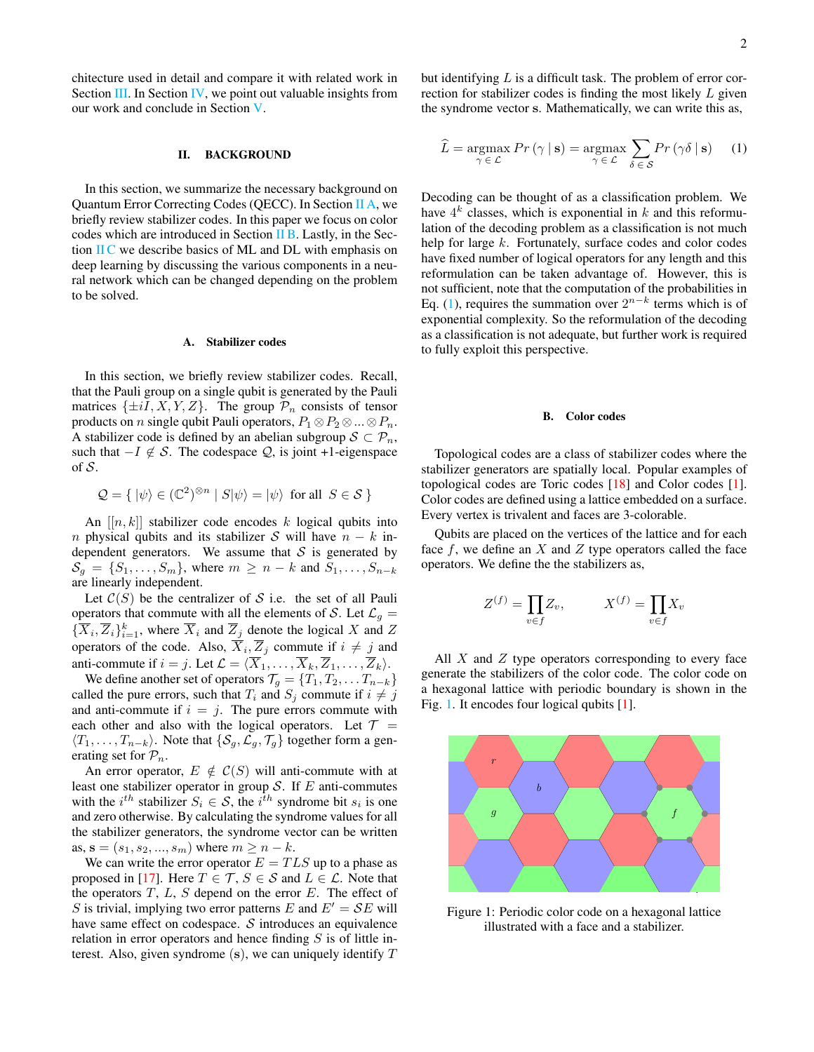chitecture used in detail and compare it with related work in Section [III.](#page-4-0) In Section [IV,](#page-9-0) we point out valuable insights from our work and conclude in Section [V.](#page-10-8)

## <span id="page-1-0"></span>II. BACKGROUND

In this section, we summarize the necessary background on Quantum Error Correcting Codes (QECC). In Section [II A,](#page-1-1) we briefly review stabilizer codes. In this paper we focus on color codes which are introduced in Section [II B.](#page-1-2) Lastly, in the Section [II C](#page-2-0) we describe basics of ML and DL with emphasis on deep learning by discussing the various components in a neural network which can be changed depending on the problem to be solved.

### <span id="page-1-1"></span>A. Stabilizer codes

In this section, we briefly review stabilizer codes. Recall, that the Pauli group on a single qubit is generated by the Pauli matrices  $\{\pm iI, X, Y, Z\}$ . The group  $\mathcal{P}_n$  consists of tensor products on *n* single qubit Pauli operators,  $P_1 \otimes P_2 \otimes ... \otimes P_n$ . A stabilizer code is defined by an abelian subgroup  $S \subset \mathcal{P}_n$ , such that  $-I \notin S$ . The codespace  $Q$ , is joint +1-eigenspace of  $S$ .

$$
\mathcal{Q} = \{ |\psi\rangle \in (\mathbb{C}^2)^{\otimes n} \mid S|\psi\rangle = |\psi\rangle \text{ for all } S \in \mathcal{S} \}
$$

An  $[[n, k]]$  stabilizer code encodes k logical qubits into n physical qubits and its stabilizer S will have  $n - k$  independent generators. We assume that  $S$  is generated by  $S_g = \{S_1, \ldots, S_m\}$ , where  $m \geq n - k$  and  $S_1, \ldots, S_{n-k}$ are linearly independent.

Let  $C(S)$  be the centralizer of S i.e. the set of all Pauli operators that commute with all the elements of S. Let  $\mathcal{L}_g$  =  $\{\overline{X}_i, \overline{Z}_i\}_{i=1}^k$ , where  $\overline{X}_i$  and  $\overline{Z}_j$  denote the logical X and Z operators of the code. Also,  $\overline{X}_i, \overline{Z}_j$  commute if  $i \neq j$  and anti-commute if  $i = j$ . Let  $\mathcal{L} = \langle X_1, \ldots, X_k, Z_1, \ldots, Z_k \rangle$ .

We define another set of operators  $\mathcal{T}_g = \{T_1, T_2, \dots T_{n-k}\}$ called the pure errors, such that  $T_i$  and  $S_j$  commute if  $i \neq j$ and anti-commute if  $i = j$ . The pure errors commute with each other and also with the logical operators. Let  $\mathcal{T} =$  $\langle T_1, \ldots, T_{n-k} \rangle$ . Note that  $\{S_q, \mathcal{L}_q, \mathcal{T}_q\}$  together form a generating set for  $\mathcal{P}_n$ .

An error operator,  $E \notin C(S)$  will anti-commute with at least one stabilizer operator in group  $S$ . If  $E$  anti-commutes with the  $i^{th}$  stabilizer  $S_i \in S$ , the  $i^{th}$  syndrome bit  $s_i$  is one and zero otherwise. By calculating the syndrome values for all the stabilizer generators, the syndrome vector can be written as,  $s = (s_1, s_2, ..., s_m)$  where  $m \ge n - k$ .

We can write the error operator  $E = TLS$  up to a phase as proposed in [\[17\]](#page-11-2). Here  $T \in \mathcal{T}$ ,  $S \in \mathcal{S}$  and  $L \in \mathcal{L}$ . Note that the operators  $T$ ,  $L$ ,  $S$  depend on the error  $E$ . The effect of S is trivial, implying two error patterns E and  $E' = \mathcal{S}E$  will have same effect on codespace.  $S$  introduces an equivalence relation in error operators and hence finding  $S$  is of little interest. Also, given syndrome  $(s)$ , we can uniquely identify  $T$ 

but identifying  $L$  is a difficult task. The problem of error correction for stabilizer codes is finding the most likely L given the syndrome vector s. Mathematically, we can write this as,

<span id="page-1-3"></span>
$$
\widehat{L} = \underset{\gamma \in \mathcal{L}}{\operatorname{argmax}} Pr(\gamma | \mathbf{s}) = \underset{\gamma \in \mathcal{L}}{\operatorname{argmax}} \sum_{\delta \in \mathcal{S}} Pr(\gamma \delta | \mathbf{s}) \quad (1)
$$

Decoding can be thought of as a classification problem. We have  $4^k$  classes, which is exponential in k and this reformulation of the decoding problem as a classification is not much help for large k. Fortunately, surface codes and color codes have fixed number of logical operators for any length and this reformulation can be taken advantage of. However, this is not sufficient, note that the computation of the probabilities in Eq. [\(1\)](#page-1-3), requires the summation over  $2^{n-k}$  terms which is of exponential complexity. So the reformulation of the decoding as a classification is not adequate, but further work is required to fully exploit this perspective.

#### <span id="page-1-2"></span>B. Color codes

Topological codes are a class of stabilizer codes where the stabilizer generators are spatially local. Popular examples of topological codes are Toric codes [\[18\]](#page-11-3) and Color codes [\[1\]](#page-10-0). Color codes are defined using a lattice embedded on a surface. Every vertex is trivalent and faces are 3-colorable.

Qubits are placed on the vertices of the lattice and for each face  $f$ , we define an  $X$  and  $Z$  type operators called the face operators. We define the the stabilizers as,

$$
Z^{(f)} = \prod_{v \in f} Z_v, \qquad X^{(f)} = \prod_{v \in f} X_v
$$

All  $X$  and  $Z$  type operators corresponding to every face generate the stabilizers of the color code. The color code on a hexagonal lattice with periodic boundary is shown in the Fig. [1.](#page-1-4) It encodes four logical qubits [\[1\]](#page-10-0).

<span id="page-1-4"></span>

Figure 1: Periodic color code on a hexagonal lattice illustrated with a face and a stabilizer.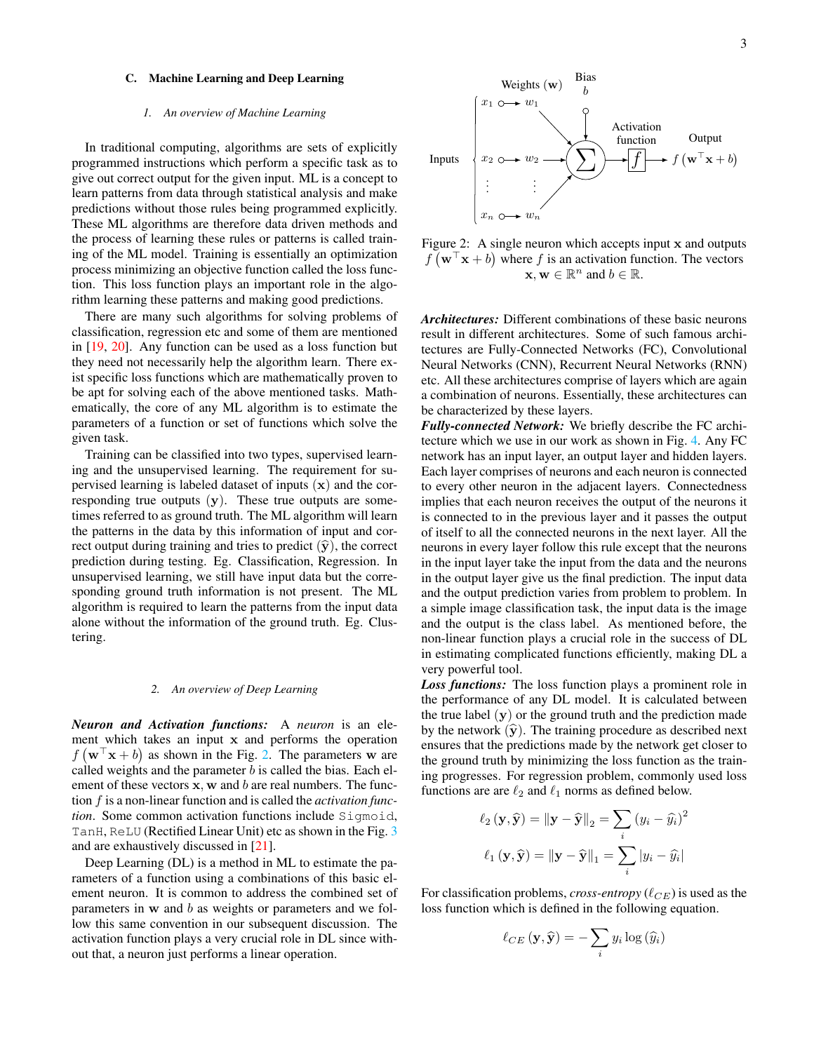#### <span id="page-2-0"></span>C. Machine Learning and Deep Learning

#### *1. An overview of Machine Learning*

In traditional computing, algorithms are sets of explicitly programmed instructions which perform a specific task as to give out correct output for the given input. ML is a concept to learn patterns from data through statistical analysis and make predictions without those rules being programmed explicitly. These ML algorithms are therefore data driven methods and the process of learning these rules or patterns is called training of the ML model. Training is essentially an optimization process minimizing an objective function called the loss function. This loss function plays an important role in the algorithm learning these patterns and making good predictions.

There are many such algorithms for solving problems of classification, regression etc and some of them are mentioned in [\[19,](#page-11-4) [20\]](#page-11-5). Any function can be used as a loss function but they need not necessarily help the algorithm learn. There exist specific loss functions which are mathematically proven to be apt for solving each of the above mentioned tasks. Mathematically, the core of any ML algorithm is to estimate the parameters of a function or set of functions which solve the given task.

Training can be classified into two types, supervised learning and the unsupervised learning. The requirement for supervised learning is labeled dataset of inputs  $(x)$  and the corresponding true outputs  $(y)$ . These true outputs are sometimes referred to as ground truth. The ML algorithm will learn the patterns in the data by this information of input and correct output during training and tries to predict  $(\hat{y})$ , the correct prediction during testing. Eg. Classification, Regression. In unsupervised learning, we still have input data but the corresponding ground truth information is not present. The ML algorithm is required to learn the patterns from the input data alone without the information of the ground truth. Eg. Clustering.

# *2. An overview of Deep Learning*

*Neuron and Activation functions:* A *neuron* is an element which takes an input x and performs the operation  $f(\mathbf{w}^T\mathbf{x} + b)$  as shown in the Fig. [2.](#page-2-1) The parameters w are called weights and the parameter  $b$  is called the bias. Each element of these vectors  $x$ ,  $w$  and  $b$  are real numbers. The function f is a non-linear function and is called the *activation function*. Some common activation functions include Sigmoid, TanH, ReLU (Rectified Linear Unit) etc as shown in the Fig. [3](#page-3-0) and are exhaustively discussed in [\[21\]](#page-11-6).

Deep Learning (DL) is a method in ML to estimate the parameters of a function using a combinations of this basic element neuron. It is common to address the combined set of parameters in w and b as weights or parameters and we follow this same convention in our subsequent discussion. The activation function plays a very crucial role in DL since without that, a neuron just performs a linear operation.

<span id="page-2-1"></span>

Figure 2: A single neuron which accepts input x and outputs  $f(\mathbf{w}^{\top}\mathbf{x} + b)$  where f is an activation function. The vectors  $\mathbf{x}, \mathbf{w} \in \mathbb{R}^n$  and  $b \in \mathbb{R}$ .

*Architectures:* Different combinations of these basic neurons result in different architectures. Some of such famous architectures are Fully-Connected Networks (FC), Convolutional Neural Networks (CNN), Recurrent Neural Networks (RNN) etc. All these architectures comprise of layers which are again a combination of neurons. Essentially, these architectures can be characterized by these layers.

*Fully-connected Network:* We briefly describe the FC architecture which we use in our work as shown in Fig. [4.](#page-3-1) Any FC network has an input layer, an output layer and hidden layers. Each layer comprises of neurons and each neuron is connected to every other neuron in the adjacent layers. Connectedness implies that each neuron receives the output of the neurons it is connected to in the previous layer and it passes the output of itself to all the connected neurons in the next layer. All the neurons in every layer follow this rule except that the neurons in the input layer take the input from the data and the neurons in the output layer give us the final prediction. The input data and the output prediction varies from problem to problem. In a simple image classification task, the input data is the image and the output is the class label. As mentioned before, the non-linear function plays a crucial role in the success of DL in estimating complicated functions efficiently, making DL a very powerful tool.

*Loss functions:* The loss function plays a prominent role in the performance of any DL model. It is calculated between the true label  $(y)$  or the ground truth and the prediction made by the network  $(\hat{y})$ . The training procedure as described next ensures that the predictions made by the network get closer to the ground truth by minimizing the loss function as the training progresses. For regression problem, commonly used loss functions are are  $\ell_2$  and  $\ell_1$  norms as defined below.

$$
\ell_2(\mathbf{y}, \hat{\mathbf{y}}) = ||\mathbf{y} - \hat{\mathbf{y}}||_2 = \sum_i (y_i - \hat{y}_i)^2
$$

$$
\ell_1(\mathbf{y}, \hat{\mathbf{y}}) = ||\mathbf{y} - \hat{\mathbf{y}}||_1 = \sum_i |y_i - \hat{y}_i|
$$

For classification problems, *cross-entropy*  $(\ell_{CE})$  is used as the loss function which is defined in the following equation.

$$
\ell_{CE}(\mathbf{y}, \hat{\mathbf{y}}) = -\sum_{i} y_i \log(\widehat{y}_i)
$$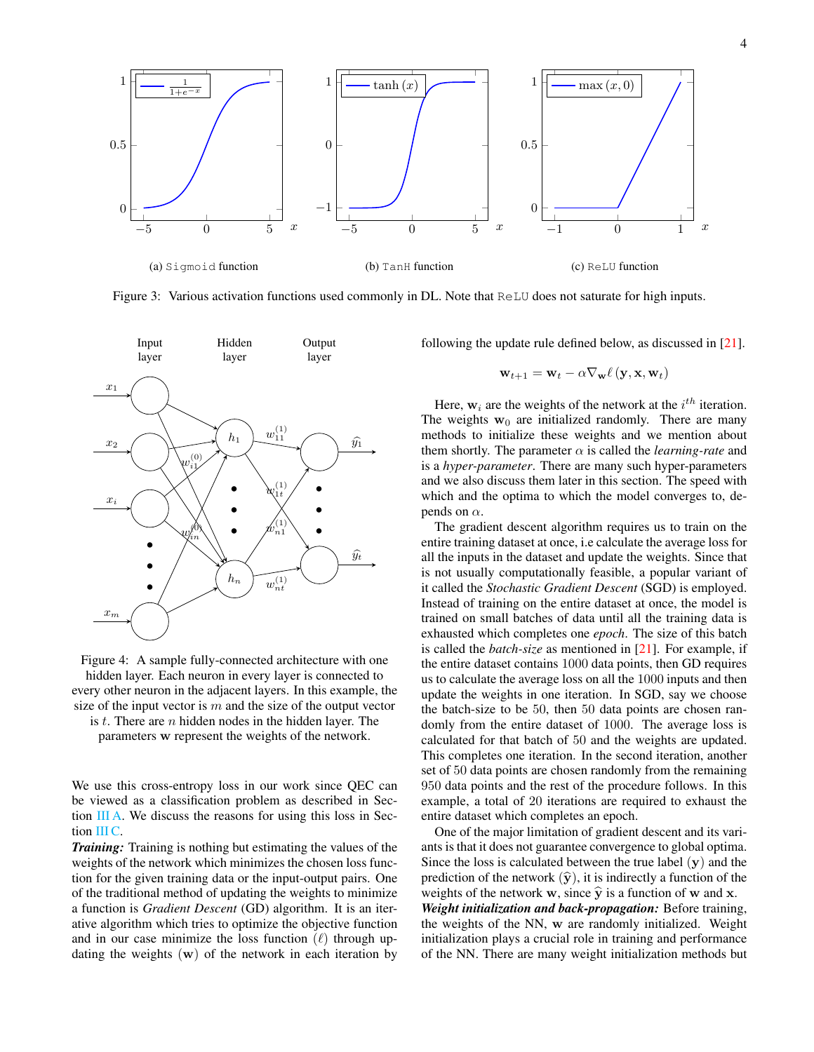<span id="page-3-0"></span>

Figure 3: Various activation functions used commonly in DL. Note that ReLU does not saturate for high inputs.

<span id="page-3-1"></span>

Figure 4: A sample fully-connected architecture with one hidden layer. Each neuron in every layer is connected to every other neuron in the adjacent layers. In this example, the size of the input vector is  $m$  and the size of the output vector

is  $t$ . There are  $n$  hidden nodes in the hidden layer. The parameters w represent the weights of the network.

We use this cross-entropy loss in our work since QEC can be viewed as a classification problem as described in Section  $\overline{III}$  A. We discuss the reasons for using this loss in Sec-tion [III C.](#page-6-0)

*Training:* Training is nothing but estimating the values of the weights of the network which minimizes the chosen loss function for the given training data or the input-output pairs. One of the traditional method of updating the weights to minimize a function is *Gradient Descent* (GD) algorithm. It is an iterative algorithm which tries to optimize the objective function and in our case minimize the loss function  $(\ell)$  through updating the weights  $(w)$  of the network in each iteration by

following the update rule defined below, as discussed in [\[21\]](#page-11-6).

$$
\mathbf{w}_{t+1} = \mathbf{w}_t - \alpha \nabla_{\mathbf{w}} \ell \left(\mathbf{y}, \mathbf{x}, \mathbf{w}_t\right)
$$

Here,  $w_i$  are the weights of the network at the  $i^{th}$  iteration. The weights  $w_0$  are initialized randomly. There are many methods to initialize these weights and we mention about them shortly. The parameter  $\alpha$  is called the *learning-rate* and is a *hyper-parameter*. There are many such hyper-parameters and we also discuss them later in this section. The speed with which and the optima to which the model converges to, depends on  $\alpha$ .

The gradient descent algorithm requires us to train on the entire training dataset at once, i.e calculate the average loss for all the inputs in the dataset and update the weights. Since that is not usually computationally feasible, a popular variant of it called the *Stochastic Gradient Descent* (SGD) is employed. Instead of training on the entire dataset at once, the model is trained on small batches of data until all the training data is exhausted which completes one *epoch*. The size of this batch is called the *batch-size* as mentioned in [\[21\]](#page-11-6). For example, if the entire dataset contains 1000 data points, then GD requires us to calculate the average loss on all the 1000 inputs and then update the weights in one iteration. In SGD, say we choose the batch-size to be 50, then 50 data points are chosen randomly from the entire dataset of 1000. The average loss is calculated for that batch of 50 and the weights are updated. This completes one iteration. In the second iteration, another set of 50 data points are chosen randomly from the remaining 950 data points and the rest of the procedure follows. In this example, a total of 20 iterations are required to exhaust the entire dataset which completes an epoch.

One of the major limitation of gradient descent and its variants is that it does not guarantee convergence to global optima. Since the loss is calculated between the true label  $(y)$  and the prediction of the network  $(\hat{y})$ , it is indirectly a function of the weights of the network w, since  $\hat{y}$  is a function of w and x.

*Weight initialization and back-propagation:* Before training, the weights of the NN, w are randomly initialized. Weight initialization plays a crucial role in training and performance of the NN. There are many weight initialization methods but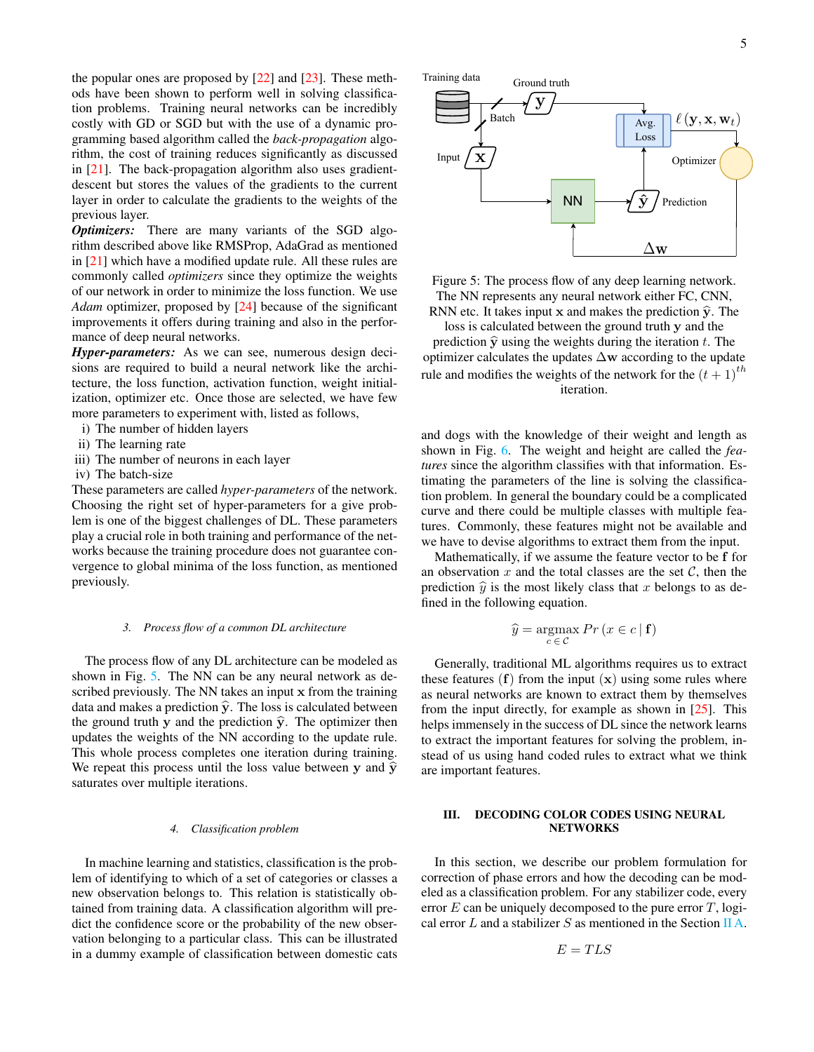the popular ones are proposed by [\[22\]](#page-11-7) and [\[23\]](#page-11-8). These methods have been shown to perform well in solving classification problems. Training neural networks can be incredibly costly with GD or SGD but with the use of a dynamic programming based algorithm called the *back-propagation* algorithm, the cost of training reduces significantly as discussed in [\[21\]](#page-11-6). The back-propagation algorithm also uses gradientdescent but stores the values of the gradients to the current layer in order to calculate the gradients to the weights of the previous layer.

*Optimizers:* There are many variants of the SGD algorithm described above like RMSProp, AdaGrad as mentioned in [\[21\]](#page-11-6) which have a modified update rule. All these rules are commonly called *optimizers* since they optimize the weights of our network in order to minimize the loss function. We use *Adam* optimizer, proposed by [\[24\]](#page-11-9) because of the significant improvements it offers during training and also in the performance of deep neural networks.

*Hyper-parameters:* As we can see, numerous design decisions are required to build a neural network like the architecture, the loss function, activation function, weight initialization, optimizer etc. Once those are selected, we have few more parameters to experiment with, listed as follows,

- i) The number of hidden layers
- ii) The learning rate
- iii) The number of neurons in each layer
- iv) The batch-size

These parameters are called *hyper-parameters* of the network. Choosing the right set of hyper-parameters for a give problem is one of the biggest challenges of DL. These parameters play a crucial role in both training and performance of the networks because the training procedure does not guarantee convergence to global minima of the loss function, as mentioned previously.

#### *3. Process flow of a common DL architecture*

The process flow of any DL architecture can be modeled as shown in Fig. [5.](#page-4-1) The NN can be any neural network as described previously. The NN takes an input x from the training data and makes a prediction  $\hat{y}$ . The loss is calculated between the ground truth y and the prediction  $\hat{y}$ . The optimizer then updates the weights of the NN according to the update rule. This whole process completes one iteration during training. We repeat this process until the loss value between y and  $\hat{y}$ saturates over multiple iterations. lay in a notice to sheal of control in the state of control in the state of control in the state of control in a state of control in the state of control in the state of control in the state of control in the state of con

#### *4. Classification problem*

In machine learning and statistics, classification is the problem of identifying to which of a set of categories or classes a new observation belongs to. This relation is statistically obtained from training data. A classification algorithm will predict the confidence score or the probability of the new observation belonging to a particular class. This can be illustrated

<span id="page-4-1"></span>

Figure 5: The process flow of any deep learning network. The NN represents any neural network either FC, CNN, RNN etc. It takes input x and makes the prediction  $\hat{y}$ . The loss is calculated between the ground truth y and the prediction  $\hat{y}$  using the weights during the iteration t. The optimizer calculates the updates ∆w according to the update rule and modifies the weights of the network for the  $(t + 1)^{th}$ iteration.

and dogs with the knowledge of their weight and length as shown in Fig. [6.](#page-5-1) The weight and height are called the *features* since the algorithm classifies with that information. Estimating the parameters of the line is solving the classification problem. In general the boundary could be a complicated curve and there could be multiple classes with multiple features. Commonly, these features might not be available and we have to devise algorithms to extract them from the input.

Mathematically, if we assume the feature vector to be f for an observation  $x$  and the total classes are the set  $\mathcal{C}$ , then the prediction  $\hat{y}$  is the most likely class that x belongs to as defined in the following equation.

$$
\widehat{y} = \underset{c \in \mathcal{C}}{\operatorname{argmax}} \, Pr \left( x \in c \, | \, \mathbf{f} \right)
$$

Generally, traditional ML algorithms requires us to extract these features  $(f)$  from the input  $(x)$  using some rules where as neural networks are known to extract them by themselves from the input directly, for example as shown in  $[25]$ . This helps immensely in the success of DL since the network learns to extract the important features for solving the problem, instead of us using hand coded rules to extract what we think are important features.

## <span id="page-4-0"></span>III. DECODING COLOR CODES USING NEURAL **NETWORKS**

In this section, we describe our problem formulation for correction of phase errors and how the decoding can be modeled as a classification problem. For any stabilizer code, every error  $E$  can be uniquely decomposed to the pure error  $T$ , logi-cal error L and a stabilizer S as mentioned in the Section [II A.](#page-1-1)

$$
E = TLS
$$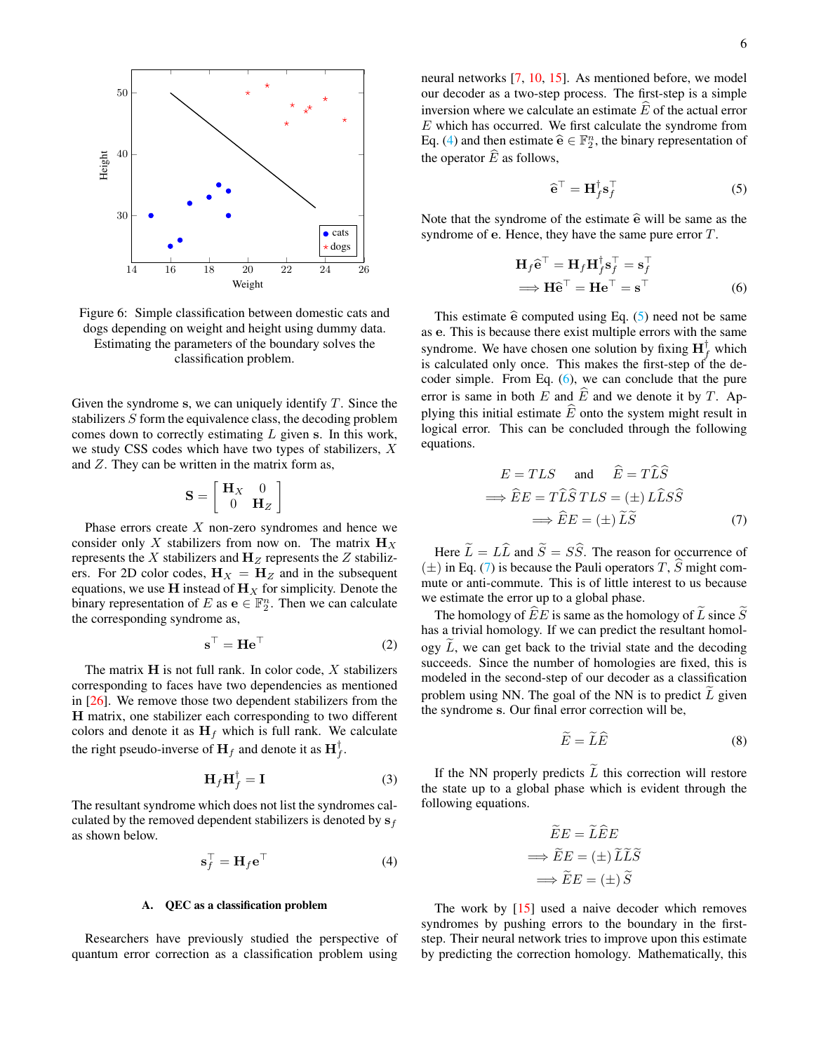<span id="page-5-1"></span>

Figure 6: Simple classification between domestic cats and dogs depending on weight and height using dummy data. Estimating the parameters of the boundary solves the classification problem.

Given the syndrome s, we can uniquely identify  $T$ . Since the stabilizers S form the equivalence class, the decoding problem comes down to correctly estimating L given s. In this work, we study CSS codes which have two types of stabilizers, X and Z. They can be written in the matrix form as,

$$
\mathbf{S} = \left[ \begin{array}{cc} \mathbf{H}_X & 0 \\ 0 & \mathbf{H}_Z \end{array} \right]
$$

Phase errors create  $X$  non-zero syndromes and hence we consider only X stabilizers from now on. The matrix  $\mathbf{H}_{X}$ represents the X stabilizers and  $H_Z$  represents the Z stabilizers. For 2D color codes,  $H_X = H_Z$  and in the subsequent equations, we use H instead of  $H_X$  for simplicity. Denote the binary representation of E as  $e \in \mathbb{F}_2^n$ . Then we can calculate the corresponding syndrome as,

$$
\mathbf{s}^{\top} = \mathbf{H} \mathbf{e}^{\top} \tag{2}
$$

The matrix  $H$  is not full rank. In color code,  $X$  stabilizers corresponding to faces have two dependencies as mentioned in [\[26\]](#page-11-11). We remove those two dependent stabilizers from the H matrix, one stabilizer each corresponding to two different colors and denote it as  $H_f$  which is full rank. We calculate the right pseudo-inverse of  $H_f$  and denote it as  $H_f^{\dagger}$ .

$$
\mathbf{H}_f \mathbf{H}_f^\dagger = \mathbf{I} \tag{3}
$$

The resultant syndrome which does not list the syndromes calculated by the removed dependent stabilizers is denoted by  $s_f$ as shown below.

$$
\mathbf{s}_f^\top = \mathbf{H}_f \mathbf{e}^\top \tag{4}
$$

## <span id="page-5-0"></span>A. QEC as a classification problem

Researchers have previously studied the perspective of quantum error correction as a classification problem using neural networks [\[7,](#page-10-4) [10,](#page-10-7) [15\]](#page-11-0). As mentioned before, we model our decoder as a two-step process. The first-step is a simple inversion where we calculate an estimate  $\widehat{E}$  of the actual error  $E$  which has occurred. We first calculate the syndrome from Eq. [\(4\)](#page-5-2) and then estimate  $\hat{\mathbf{e}} \in \mathbb{F}_2^n$ , the binary representation of the operator  $\overline{E}$  as follows,

<span id="page-5-4"></span><span id="page-5-3"></span>
$$
\widehat{\mathbf{e}}^{\top} = \mathbf{H}_f^{\dagger} \mathbf{s}_f^{\top} \tag{5}
$$

Note that the syndrome of the estimate  $\hat{e}$  will be same as the syndrome of e. Hence, they have the same pure error T.

$$
\mathbf{H}_f \hat{\mathbf{e}}^\top = \mathbf{H}_f \mathbf{H}_f^\dagger \mathbf{s}_f^\top = \mathbf{s}_f^\top \n\implies \mathbf{H} \hat{\mathbf{e}}^\top = \mathbf{H} \mathbf{e}^\top = \mathbf{s}^\top
$$
\n(6)

This estimate  $\hat{e}$  computed using Eq. [\(5\)](#page-5-3) need not be same as e. This is because there exist multiple errors with the same syndrome. We have chosen one solution by fixing  $\mathbf{H}_f^{\dagger}$  which is calculated only once. This makes the first-step of the decoder simple. From Eq. [\(6\)](#page-5-4), we can conclude that the pure error is same in both E and  $\widehat{E}$  and we denote it by T. Applying this initial estimate  $\hat{E}$  onto the system might result in logical error. This can be concluded through the following equations.

<span id="page-5-5"></span>
$$
E = TLS \quad \text{and} \quad \hat{E} = T\hat{L}\hat{S}
$$

$$
\implies \hat{E}E = T\hat{L}\hat{S} \, TLS = (\pm) \, L\hat{L}\hat{S}\hat{S}
$$

$$
\implies \hat{E}E = (\pm) \, \tilde{L}\tilde{S} \tag{7}
$$

Here  $\tilde{L} = L\hat{L}$  and  $\tilde{S} = S\hat{S}$ . The reason for occurrence of  $(\pm)$  in Eq. [\(7\)](#page-5-5) is because the Pauli operators T,  $\hat{S}$  might commute or anti-commute. This is of little interest to us because we estimate the error up to a global phase.

<span id="page-5-8"></span>The homology of  $\widehat{E}E$  is same as the homology of  $\widehat{L}$  since  $\widehat{S}$ has a trivial homology. If we can predict the resultant homology  $\tilde{L}$ , we can get back to the trivial state and the decoding succeeds. Since the number of homologies are fixed, this is modeled in the second-step of our decoder as a classification problem using NN. The goal of the NN is to predict  $L$  given the syndrome s. Our final error correction will be,

<span id="page-5-6"></span>
$$
\widetilde{E} = \widetilde{L}\widehat{E} \tag{8}
$$

<span id="page-5-7"></span>If the NN properly predicts  $\widetilde{L}$  this correction will restore the state up to a global phase which is evident through the following equations.

$$
\widetilde{E}E = \widetilde{L}\widehat{E}E
$$

$$
\implies \widetilde{E}E = (\pm)\widetilde{L}\widetilde{L}\widetilde{S}
$$

$$
\implies \widetilde{E}E = (\pm)\widetilde{S}
$$

<span id="page-5-2"></span>The work by [\[15\]](#page-11-0) used a naive decoder which removes syndromes by pushing errors to the boundary in the firststep. Their neural network tries to improve upon this estimate by predicting the correction homology. Mathematically, this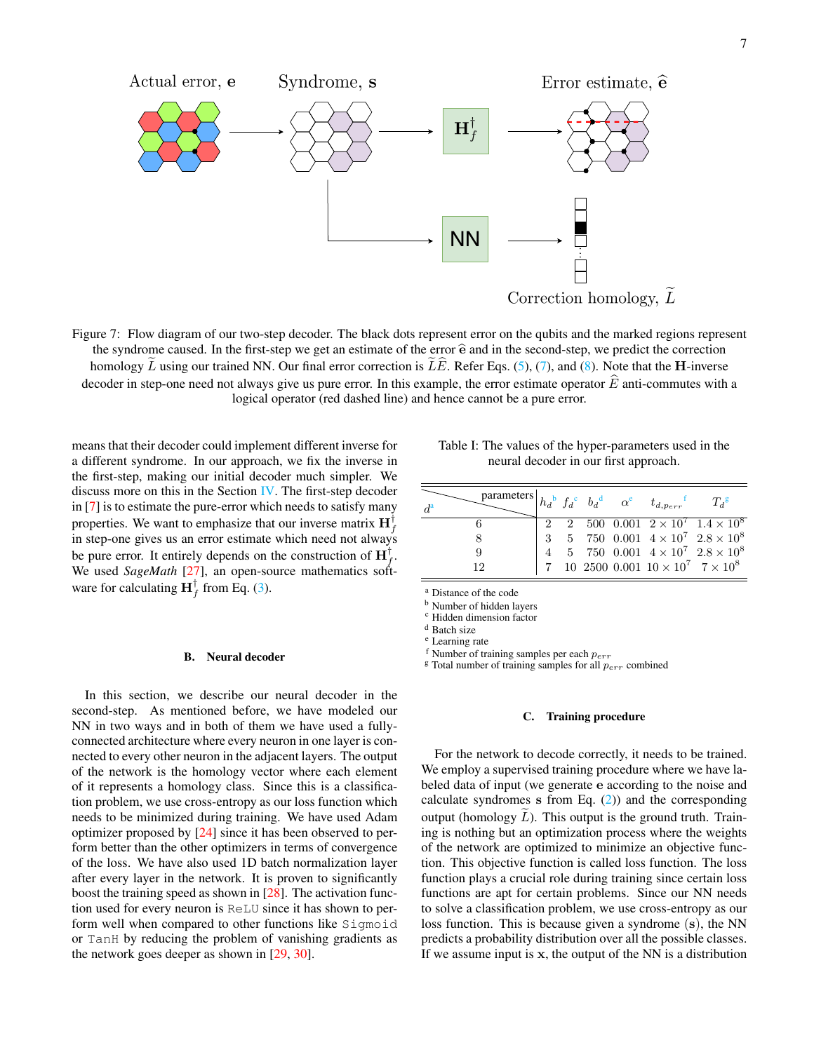<span id="page-6-8"></span>

Figure 7: Flow diagram of our two-step decoder. The black dots represent error on the qubits and the marked regions represent the syndrome caused. In the first-step we get an estimate of the error  $\hat{e}$  and in the second-step, we predict the correction homology  $\tilde{L}$  using our trained NN. Our final error correction is  $\tilde{L}\tilde{E}$ . Refer Eqs. [\(5\)](#page-5-3), [\(7\)](#page-5-5), and [\(8\)](#page-5-6). Note that the H-inverse decoder in step-one need not always give us pure error. In this example, the error estimate operator  $\widehat{E}$  anti-commutes with a logical operator (red dashed line) and hence cannot be a pure error.

means that their decoder could implement different inverse for a different syndrome. In our approach, we fix the inverse in the first-step, making our initial decoder much simpler. We discuss more on this in the Section  $\mathbf{IV}$ . The first-step decoder in [\[7\]](#page-10-4) is to estimate the pure-error which needs to satisfy many properties. We want to emphasize that our inverse matrix  $\mathbf{H}_f^{\dagger}$ in step-one gives us an error estimate which need not always be pure error. It entirely depends on the construction of  $H_f^{\dagger}$ . We used *SageMath* [\[27\]](#page-11-12), an open-source mathematics software for calculating  $\mathbf{H}_f^{\dagger}$  from Eq. [\(3\)](#page-5-7).

#### B. Neural decoder

In this section, we describe our neural decoder in the second-step. As mentioned before, we have modeled our NN in two ways and in both of them we have used a fullyconnected architecture where every neuron in one layer is connected to every other neuron in the adjacent layers. The output of the network is the homology vector where each element of it represents a homology class. Since this is a classification problem, we use cross-entropy as our loss function which needs to be minimized during training. We have used Adam optimizer proposed by [\[24\]](#page-11-9) since it has been observed to perform better than the other optimizers in terms of convergence of the loss. We have also used 1D batch normalization layer after every layer in the network. It is proven to significantly boost the training speed as shown in [\[28\]](#page-11-13). The activation function used for every neuron is ReLU since it has shown to perform well when compared to other functions like Sigmoid or TanH by reducing the problem of vanishing gradients as the network goes deeper as shown in [\[29,](#page-11-14) [30\]](#page-11-15).

<span id="page-6-9"></span>

| Table I: The values of the hyper-parameters used in the |
|---------------------------------------------------------|
| neural decoder in our first approach.                   |

| $\sum^{\text{parameters}}_{h_d} h_{d_b} f_d^c_{b_d} \quad \alpha^e_{d,p_{err}} f_{d,p_{err}}$<br>$d^{\mathrm{a}}$ |  |  |                                                  | $T_d$ <sup>g</sup>                                                                                                                               |
|-------------------------------------------------------------------------------------------------------------------|--|--|--------------------------------------------------|--------------------------------------------------------------------------------------------------------------------------------------------------|
|                                                                                                                   |  |  |                                                  | 2 2 500 0.001 $2 \times 10^7$ $1.4 \times 10^8$                                                                                                  |
|                                                                                                                   |  |  |                                                  | $\begin{array}{cccc} 3 & 5 & 750 & 0.001 & 4 \times 10^7 & 2.8 \times 10^8 \\ 4 & 5 & 750 & 0.001 & 4 \times 10^7 & 2.8 \times 10^8 \end{array}$ |
| 9                                                                                                                 |  |  |                                                  |                                                                                                                                                  |
| 19                                                                                                                |  |  | 7 10 2500 0.001 $10 \times 10^7$ 7 $\times 10^8$ |                                                                                                                                                  |

<span id="page-6-1"></span><sup>a</sup> Distance of the code

<span id="page-6-2"></span>**b** Number of hidden layers

<span id="page-6-3"></span><sup>c</sup> Hidden dimension factor

<span id="page-6-4"></span><sup>d</sup> Batch size

<span id="page-6-5"></span><sup>e</sup> Learning rate

<span id="page-6-6"></span>f Number of training samples per each  $p_{err}$ 

<span id="page-6-7"></span> $g$  Total number of training samples for all  $p_{err}$  combined

### <span id="page-6-0"></span>C. Training procedure

For the network to decode correctly, it needs to be trained. We employ a supervised training procedure where we have labeled data of input (we generate e according to the noise and calculate syndromes s from Eq.  $(2)$ ) and the corresponding output (homology  $L$ ). This output is the ground truth. Training is nothing but an optimization process where the weights of the network are optimized to minimize an objective function. This objective function is called loss function. The loss function plays a crucial role during training since certain loss functions are apt for certain problems. Since our NN needs to solve a classification problem, we use cross-entropy as our loss function. This is because given a syndrome (s), the NN predicts a probability distribution over all the possible classes. If we assume input is  $x$ , the output of the NN is a distribution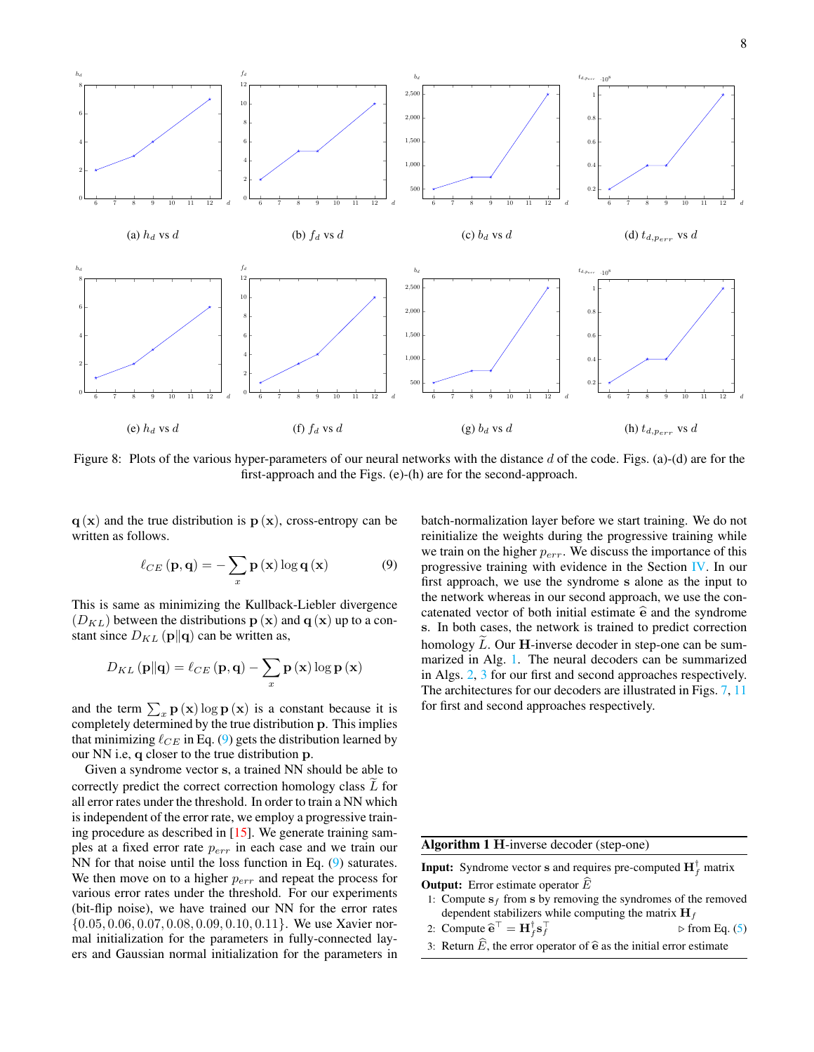<span id="page-7-2"></span>

Figure 8: Plots of the various hyper-parameters of our neural networks with the distance  $d$  of the code. Figs. (a)-(d) are for the first-approach and the Figs. (e)-(h) are for the second-approach.

 $q(x)$  and the true distribution is  $p(x)$ , cross-entropy can be written as follows.

$$
\ell_{CE}(\mathbf{p}, \mathbf{q}) = -\sum_{x} \mathbf{p}(\mathbf{x}) \log \mathbf{q}(\mathbf{x}) \tag{9}
$$

This is same as minimizing the Kullback-Liebler divergence  $(D_{KL})$  between the distributions  $\mathbf{p}(\mathbf{x})$  and  $\mathbf{q}(\mathbf{x})$  up to a constant since  $D_{KL}(\mathbf{p}||\mathbf{q})$  can be written as,

$$
D_{KL}\left(\mathbf{p}\|\mathbf{q}\right) = \ell_{CE}\left(\mathbf{p},\mathbf{q}\right) - \sum_{x}\mathbf{p}\left(\mathbf{x}\right)\log\mathbf{p}\left(\mathbf{x}\right)
$$

and the term  $\sum_{x}$  **p** (**x**) log **p** (**x**) is a constant because it is completely determined by the true distribution p. This implies that minimizing  $\ell_{CE}$  in Eq. [\(9\)](#page-7-0) gets the distribution learned by our NN i.e, q closer to the true distribution p.

Given a syndrome vector s, a trained NN should be able to correctly predict the correct correction homology class  $L$  for all error rates under the threshold. In order to train a NN which is independent of the error rate, we employ a progressive training procedure as described in [\[15\]](#page-11-0). We generate training samples at a fixed error rate  $p_{err}$  in each case and we train our NN for that noise until the loss function in Eq. [\(9\)](#page-7-0) saturates. We then move on to a higher  $p_{err}$  and repeat the process for various error rates under the threshold. For our experiments (bit-flip noise), we have trained our NN for the error rates  $\{0.05, 0.06, 0.07, 0.08, 0.09, 0.10, 0.11\}$ . We use Xavier normal initialization for the parameters in fully-connected layers and Gaussian normal initialization for the parameters in <span id="page-7-0"></span>batch-normalization layer before we start training. We do not reinitialize the weights during the progressive training while we train on the higher  $p_{err}$ . We discuss the importance of this progressive training with evidence in the Section [IV.](#page-9-0) In our first approach, we use the syndrome s alone as the input to the network whereas in our second approach, we use the concatenated vector of both initial estimate  $\hat{e}$  and the syndrome s. In both cases, the network is trained to predict correction homology  $L$ . Our **H**-inverse decoder in step-one can be summarized in Alg. [1.](#page-7-1) The neural decoders can be summarized in Algs. [2,](#page-8-0) [3](#page-8-1) for our first and second approaches respectively. The architectures for our decoders are illustrated in Figs. [7,](#page-6-8) [11](#page-9-1) for first and second approaches respectively.

<span id="page-7-1"></span>Algorithm 1 H-inverse decoder (step-one)

**Input:** Syndrome vector **s** and requires pre-computed  $\mathbf{H}_f^{\dagger}$  matrix **Output:** Error estimate operator  $E$ 

1: Compute  $s_f$  from s by removing the syndromes of the removed dependent stabilizers while computing the matrix  $H_f$ 

2: Compute 
$$
\hat{\mathbf{e}}^{\top} = \mathbf{H}_f^{\dagger} \mathbf{s}_f^{\top}
$$
  $\triangleright$  from Eq. (5)

3: Return E, the error operator of  $\hat{\mathbf{e}}$  as the initial error estimate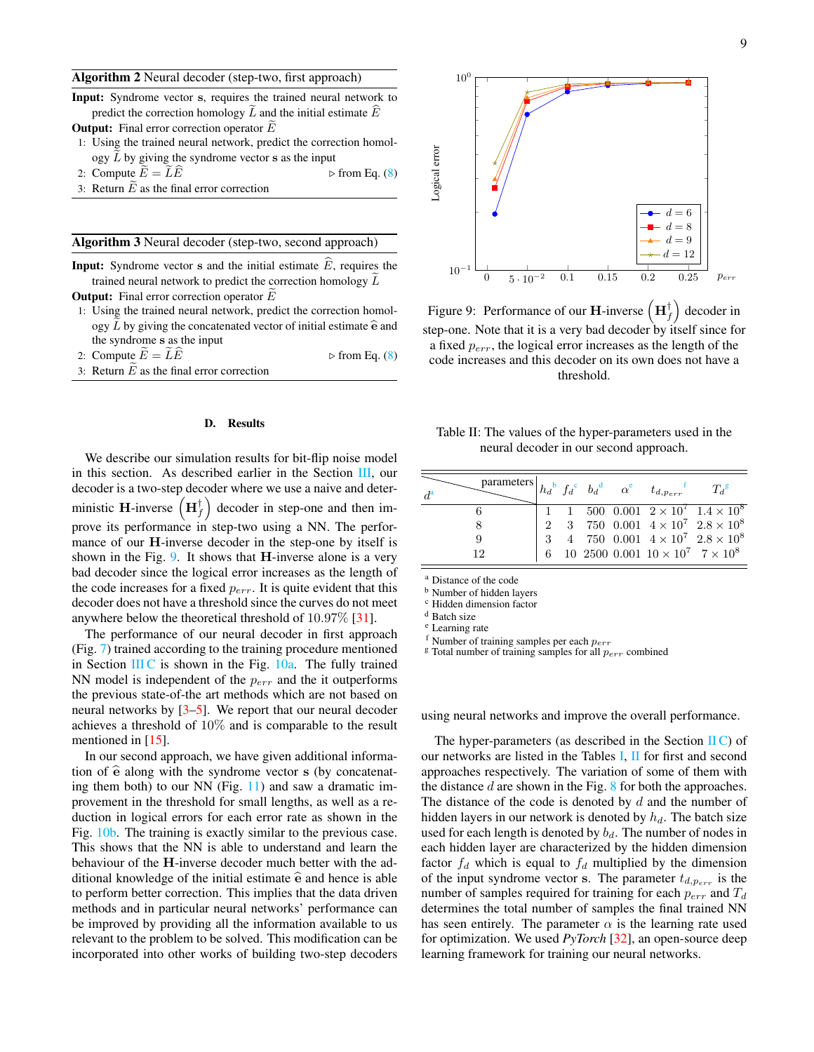#### <span id="page-8-0"></span>Algorithm 2 Neural decoder (step-two, first approach)

|  |  |  | <b>Input:</b> Syndrome vector s, requires the trained neural network to     |  |  |  |
|--|--|--|-----------------------------------------------------------------------------|--|--|--|
|  |  |  | predict the correction homology $L$ and the initial estimate $\overline{E}$ |  |  |  |
|  |  |  |                                                                             |  |  |  |

- **Output:** Final error correction operator  $E$
- 1: Using the trained neural network, predict the correction homology L by giving the syndrome vector s as the input<br>Compute  $\widetilde{E} = \widetilde{L}\widehat{E}$   $\triangleright$  from Eq. (8)
- 2: Compute  $\widetilde{E} = \widetilde{L}\widehat{E}$
- 3: Return  $\widetilde{E}$  as the final error correction

### <span id="page-8-1"></span>Algorithm 3 Neural decoder (step-two, second approach)

- **Input:** Syndrome vector s and the initial estimate  $E$ , requires the trained neural network to predict the correction homology  $L$ **Output:** Final error correction operator  $E$
- 1: Using the trained neural network, predict the correction homology  $L$  by giving the concatenated vector of initial estimate  $\hat{e}$  and the syndrome s as the input
- 2: Compute  $E = LE$  . b from Eq. [\(8\)](#page-5-6)
- 3: Return  $\tilde{E}$  as the final error correction

#### D. Results

We describe our simulation results for bit-flip noise model in this section. As described earlier in the Section [III,](#page-4-0) our decoder is a two-step decoder where we use a naive and deterministic **H**-inverse  $(\mathbf{H}_f^{\dagger})$ decoder in step-one and then improve its performance in step-two using a NN. The performance of our H-inverse decoder in the step-one by itself is shown in the Fig. [9.](#page-8-2) It shows that  $H$ -inverse alone is a very bad decoder since the logical error increases as the length of the code increases for a fixed  $p_{err}$ . It is quite evident that this decoder does not have a threshold since the curves do not meet anywhere below the theoretical threshold of 10.97% [\[31\]](#page-11-16).

The performance of our neural decoder in first approach (Fig. [7\)](#page-6-8) trained according to the training procedure mentioned in Section [III C](#page-6-0) is shown in the Fig.  $10a$ . The fully trained NN model is independent of the  $p_{err}$  and the it outperforms the previous state-of-the art methods which are not based on neural networks by [\[3](#page-10-9)[–5\]](#page-10-2). We report that our neural decoder achieves a threshold of 10% and is comparable to the result mentioned in  $[15]$ .

In our second approach, we have given additional information of  $\hat{e}$  along with the syndrome vector s (by concatenating them both) to our NN (Fig. [11\)](#page-9-1) and saw a dramatic improvement in the threshold for small lengths, as well as a reduction in logical errors for each error rate as shown in the Fig. [10b.](#page-9-2) The training is exactly similar to the previous case. This shows that the NN is able to understand and learn the behaviour of the H-inverse decoder much better with the additional knowledge of the initial estimate  $\hat{e}$  and hence is able to perform better correction. This implies that the data driven methods and in particular neural networks' performance can be improved by providing all the information available to us relevant to the problem to be solved. This modification can be incorporated into other works of building two-step decoders

<span id="page-8-2"></span>

Figure 9: Performance of our H-inverse  $(\mathbf{H}_f^{\dagger})$  decoder in step-one. Note that it is a very bad decoder by itself since for a fixed  $p_{err}$ , the logical error increases as the length of the code increases and this decoder on its own does not have a threshold.

<span id="page-8-10"></span>Table II: The values of the hyper-parameters used in the neural decoder in our second approach.

| $\begin{array}{lll}\text{parameters} & h_d{}^b & f_d{}^c & b_d{}^d & \alpha^e & t_{d,p_{err}}{}^t\end{array}$<br>$d^{\rm a}$ |  |  |                                                  | $T_d$ <sup>g</sup>                                                        |
|------------------------------------------------------------------------------------------------------------------------------|--|--|--------------------------------------------------|---------------------------------------------------------------------------|
|                                                                                                                              |  |  |                                                  | 1 1 500 0.001 $2 \times 10^7$ $1.4 \times 10^8$                           |
|                                                                                                                              |  |  |                                                  | $2 \quad \  3 \quad \, 750 \ \ 0.001 \ \ 4\times 10^7 \ \ 2.8\times 10^8$ |
| 9                                                                                                                            |  |  |                                                  | 3 4 750 0.001 $4 \times 10^7$ $2.8 \times 10^8$                           |
| 19                                                                                                                           |  |  | 6 10 2500 0.001 $10 \times 10^7$ $7 \times 10^8$ |                                                                           |

<span id="page-8-3"></span><sup>a</sup> Distance of the code

<span id="page-8-4"></span><sup>b</sup> Number of hidden layers

<span id="page-8-5"></span><sup>c</sup> Hidden dimension factor

<span id="page-8-6"></span><sup>d</sup> Batch size

<span id="page-8-7"></span><sup>e</sup> Learning rate

<span id="page-8-9"></span><span id="page-8-8"></span>f Number of training samples per each  $p_{err}$ 

 $\frac{g}{g}$  Total number of training samples for all  $p_{err}$  combined

using neural networks and improve the overall performance.

The hyper-parameters (as described in the Section  $\mathbf{I}(\mathbf{C})$  of our networks are listed in the Tables [I,](#page-6-9) [II](#page-8-10) for first and second approaches respectively. The variation of some of them with the distance  $d$  are shown in the Fig.  $8$  for both the approaches. The distance of the code is denoted by  $d$  and the number of hidden layers in our network is denoted by  $h_d$ . The batch size used for each length is denoted by  $b_d$ . The number of nodes in each hidden layer are characterized by the hidden dimension factor  $f_d$  which is equal to  $f_d$  multiplied by the dimension of the input syndrome vector s. The parameter  $t_{d,p_{err}}$  is the number of samples required for training for each  $p_{err}$  and  $T_d$ determines the total number of samples the final trained NN has seen entirely. The parameter  $\alpha$  is the learning rate used for optimization. We used *PyTorch* [\[32\]](#page-11-17), an open-source deep learning framework for training our neural networks.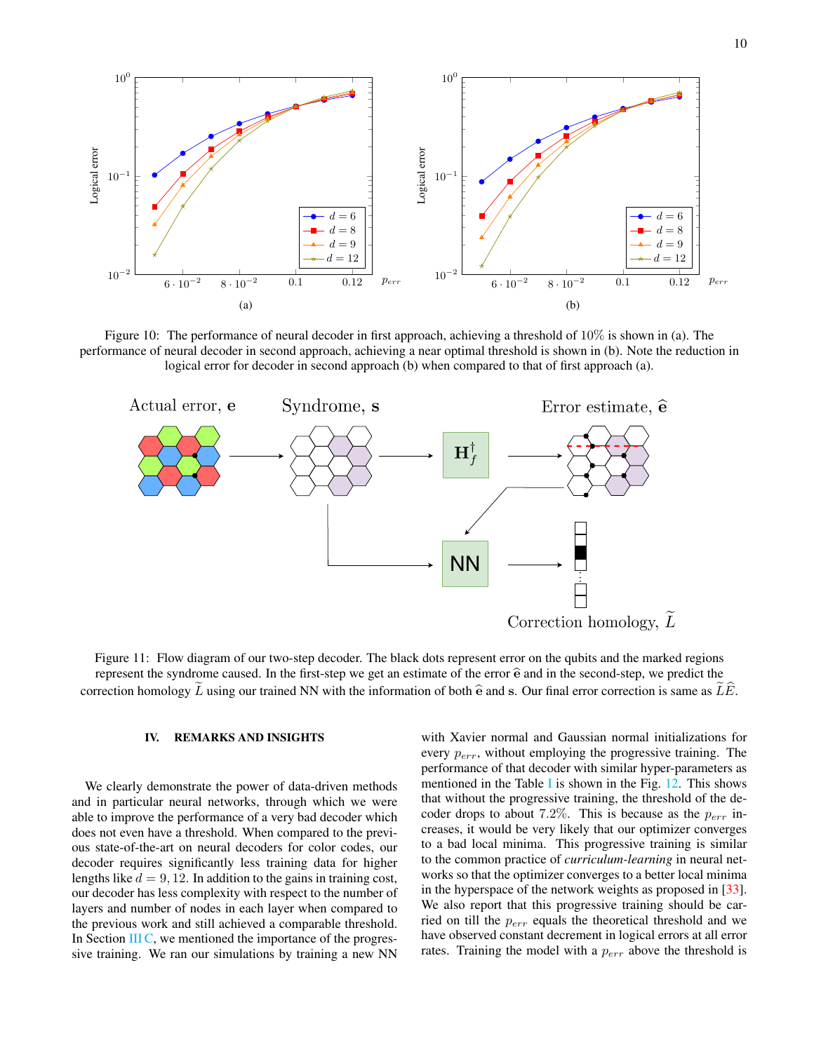<span id="page-9-2"></span>

Figure 10: The performance of neural decoder in first approach, achieving a threshold of  $10\%$  is shown in (a). The performance of neural decoder in second approach, achieving a near optimal threshold is shown in (b). Note the reduction in logical error for decoder in second approach (b) when compared to that of first approach (a).

<span id="page-9-1"></span>

Figure 11: Flow diagram of our two-step decoder. The black dots represent error on the qubits and the marked regions represent the syndrome caused. In the first-step we get an estimate of the error  $\hat{e}$  and in the second-step, we predict the correction homology L using our trained NN with the information of both  $\hat{\mathbf{e}}$  and s. Our final error correction is same as LE.

## <span id="page-9-0"></span>IV. REMARKS AND INSIGHTS

We clearly demonstrate the power of data-driven methods and in particular neural networks, through which we were able to improve the performance of a very bad decoder which does not even have a threshold. When compared to the previous state-of-the-art on neural decoders for color codes, our decoder requires significantly less training data for higher lengths like  $d = 9, 12$ . In addition to the gains in training cost, our decoder has less complexity with respect to the number of layers and number of nodes in each layer when compared to the previous work and still achieved a comparable threshold. In Section [III C,](#page-6-0) we mentioned the importance of the progressive training. We ran our simulations by training a new NN

with Xavier normal and Gaussian normal initializations for every  $p_{err}$ , without employing the progressive training. The performance of that decoder with similar hyper-parameters as mentioned in the Table [I](#page-6-9) is shown in the Fig. [12.](#page-10-10) This shows that without the progressive training, the threshold of the decoder drops to about 7.2%. This is because as the  $p_{err}$  increases, it would be very likely that our optimizer converges to a bad local minima. This progressive training is similar to the common practice of *curriculum-learning* in neural networks so that the optimizer converges to a better local minima in the hyperspace of the network weights as proposed in [\[33\]](#page-11-18). We also report that this progressive training should be carried on till the  $p_{err}$  equals the theoretical threshold and we have observed constant decrement in logical errors at all error rates. Training the model with a  $p_{err}$  above the threshold is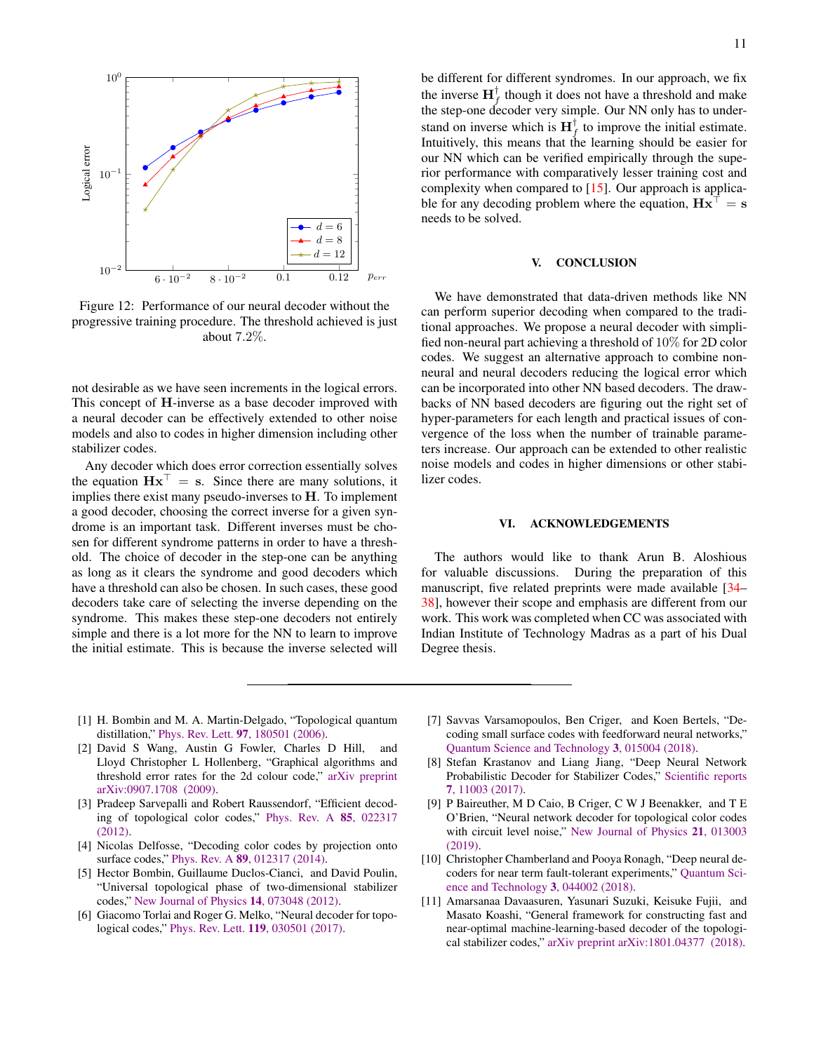<span id="page-10-10"></span>

Figure 12: Performance of our neural decoder without the progressive training procedure. The threshold achieved is just about 7.2%.

not desirable as we have seen increments in the logical errors. This concept of H-inverse as a base decoder improved with a neural decoder can be effectively extended to other noise models and also to codes in higher dimension including other stabilizer codes.

Any decoder which does error correction essentially solves the equation  $Hx^{\top} = s$ . Since there are many solutions, it implies there exist many pseudo-inverses to H. To implement a good decoder, choosing the correct inverse for a given syndrome is an important task. Different inverses must be chosen for different syndrome patterns in order to have a threshold. The choice of decoder in the step-one can be anything as long as it clears the syndrome and good decoders which have a threshold can also be chosen. In such cases, these good decoders take care of selecting the inverse depending on the syndrome. This makes these step-one decoders not entirely simple and there is a lot more for the NN to learn to improve the initial estimate. This is because the inverse selected will be different for different syndromes. In our approach, we fix the inverse  $\mathbf{H}_f^{\dagger}$  though it does not have a threshold and make the step-one decoder very simple. Our NN only has to understand on inverse which is  $\mathbf{H}_f^{\dagger}$  to improve the initial estimate. Intuitively, this means that the learning should be easier for our NN which can be verified empirically through the superior performance with comparatively lesser training cost and complexity when compared to [\[15\]](#page-11-0). Our approach is applicable for any decoding problem where the equation,  $Hx^{\top} = s$ needs to be solved.

### <span id="page-10-8"></span>**CONCLUSION**

We have demonstrated that data-driven methods like NN can perform superior decoding when compared to the traditional approaches. We propose a neural decoder with simplified non-neural part achieving a threshold of 10% for 2D color codes. We suggest an alternative approach to combine nonneural and neural decoders reducing the logical error which can be incorporated into other NN based decoders. The drawbacks of NN based decoders are figuring out the right set of hyper-parameters for each length and practical issues of convergence of the loss when the number of trainable parameters increase. Our approach can be extended to other realistic noise models and codes in higher dimensions or other stabilizer codes.

## VI. ACKNOWLEDGEMENTS

The authors would like to thank Arun B. Aloshious for valuable discussions. During the preparation of this manuscript, five related preprints were made available [\[34–](#page-11-19) [38\]](#page-11-20), however their scope and emphasis are different from our work. This work was completed when CC was associated with Indian Institute of Technology Madras as a part of his Dual Degree thesis.

- <span id="page-10-0"></span>[1] H. Bombin and M. A. Martin-Delgado, "Topological quantum distillation," Phys. Rev. Lett. 97[, 180501 \(2006\).](http://dx.doi.org/ 10.1103/PhysRevLett.97.180501)
- <span id="page-10-1"></span>[2] David S Wang, Austin G Fowler, Charles D Hill, and Lloyd Christopher L Hollenberg, "Graphical algorithms and threshold error rates for the 2d colour code," [arXiv preprint](https://arxiv.org/abs/0907.1708) [arXiv:0907.1708 \(2009\).](https://arxiv.org/abs/0907.1708)
- <span id="page-10-9"></span>[3] Pradeep Sarvepalli and Robert Raussendorf, "Efficient decoding of topological color codes," [Phys. Rev. A](http://dx.doi.org/ 10.1103/PhysRevA.85.022317) 85, 022317 [\(2012\).](http://dx.doi.org/ 10.1103/PhysRevA.85.022317)
- [4] Nicolas Delfosse, "Decoding color codes by projection onto surface codes," Phys. Rev. A 89[, 012317 \(2014\).](http://dx.doi.org/ 10.1103/PhysRevA.89.012317)
- <span id="page-10-2"></span>[5] Hector Bombin, Guillaume Duclos-Cianci, and David Poulin, "Universal topological phase of two-dimensional stabilizer codes," [New Journal of Physics](http://iopscience.iop.org/article/10.1088/1367-2630/14/7/073048/meta) 14, 073048 (2012).
- <span id="page-10-3"></span>[6] Giacomo Torlai and Roger G. Melko, "Neural decoder for topological codes," Phys. Rev. Lett. 119[, 030501 \(2017\).](http://dx.doi.org/10.1103/PhysRevLett.119.030501)
- <span id="page-10-4"></span>[7] Savvas Varsamopoulos, Ben Criger, and Koen Bertels, "Decoding small surface codes with feedforward neural networks," [Quantum Science and Technology](http://stacks.iop.org/2058-9565/3/i=1/a=015004) 3, 015004 (2018).
- [8] Stefan Krastanov and Liang Jiang, "Deep Neural Network Probabilistic Decoder for Stabilizer Codes," [Scientific reports](http://dx.doi.org/ 10.1038/s41598-017-11266-1) 7[, 11003 \(2017\).](http://dx.doi.org/ 10.1038/s41598-017-11266-1)
- <span id="page-10-6"></span>[9] P Baireuther, M D Caio, B Criger, C W J Beenakker, and T E O'Brien, "Neural network decoder for topological color codes with circuit level noise," [New Journal of Physics](http://stacks.iop.org/1367-2630/21/i=1/a=013003) 21, 013003 [\(2019\).](http://stacks.iop.org/1367-2630/21/i=1/a=013003)
- <span id="page-10-7"></span>[10] Christopher Chamberland and Pooya Ronagh, "Deep neural decoders for near term fault-tolerant experiments," [Quantum Sci](http://stacks.iop.org/2058-9565/3/i=4/a=044002)[ence and Technology](http://stacks.iop.org/2058-9565/3/i=4/a=044002) 3, 044002 (2018).
- <span id="page-10-5"></span>[11] Amarsanaa Davaasuren, Yasunari Suzuki, Keisuke Fujii, and Masato Koashi, "General framework for constructing fast and near-optimal machine-learning-based decoder of the topological stabilizer codes," [arXiv preprint arXiv:1801.04377 \(2018\).](https://arxiv.org/abs/1801.04377)